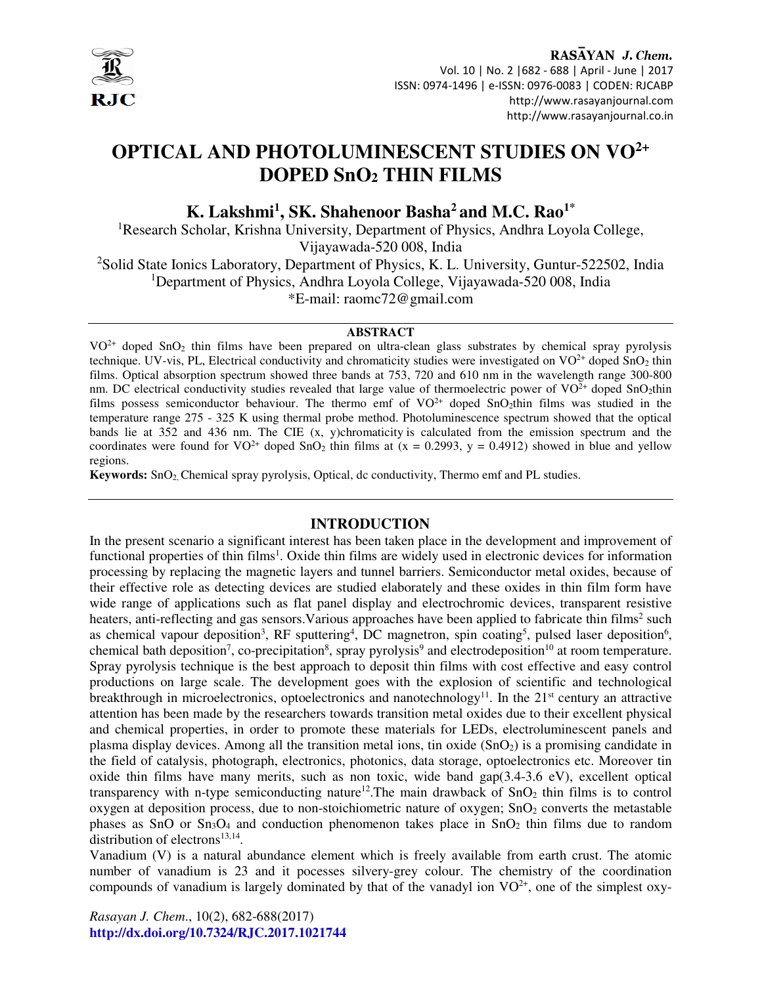

RASAYAN J. Chem. Vol. 10 | No. 2 |682 - 688 | April - June | 2017 ISSN: 0974-1496 | e-ISSN: 0976-0083 | CODEN: RJCABP http://www.rasayanjournal.com http://www.rasayanjournal.co.in

# **OPTICAL AND PHOTOLUMINESCENT STUDIES ON VO2+ DOPED SnO2 THIN FILMS**

**K. Lakshmi<sup>1</sup> , SK. Shahenoor Basha<sup>2</sup>and M.C. Rao1\*** 

<sup>1</sup>Research Scholar, Krishna University, Department of Physics, Andhra Loyola College, Vijayawada-520 008, India

<sup>2</sup>Solid State Ionics Laboratory, Department of Physics, K. L. University, Guntur-522502, India <sup>1</sup>Department of Physics, Andhra Loyola College, Vijayawada-520 008, India \*E-mail: raomc72@gmail.com

#### **ABSTRACT**

VO<sup>2+</sup> doped SnO<sub>2</sub> thin films have been prepared on ultra-clean glass substrates by chemical spray pyrolysis technique. UV-vis, PL, Electrical conductivity and chromaticity studies were investigated on  $VO^{2+}$  doped  $SnO<sub>2</sub>$  thin films. Optical absorption spectrum showed three bands at 753, 720 and 610 nm in the wavelength range 300-800 nm. DC electrical conductivity studies revealed that large value of thermoelectric power of  $VO^{2+}$  doped SnO<sub>2</sub>thin films possess semiconductor behaviour. The thermo emf of  $VO^{2+}$  doped SnO<sub>2</sub>thin films was studied in the temperature range 275 - 325 K using thermal probe method. Photoluminescence spectrum showed that the optical bands lie at 352 and 436 nm. The CIE (x, y)chromaticity is calculated from the emission spectrum and the coordinates were found for  $VO^{2+}$  doped SnO<sub>2</sub> thin films at  $(x = 0.2993, y = 0.4912)$  showed in blue and yellow regions.

**Keywords:** SnO2, Chemical spray pyrolysis, Optical, dc conductivity, Thermo emf and PL studies.

## **INTRODUCTION**

In the present scenario a significant interest has been taken place in the development and improvement of functional properties of thin films<sup>1</sup>. Oxide thin films are widely used in electronic devices for information processing by replacing the magnetic layers and tunnel barriers. Semiconductor metal oxides, because of their effective role as detecting devices are studied elaborately and these oxides in thin film form have wide range of applications such as flat panel display and electrochromic devices, transparent resistive heaters, anti-reflecting and gas sensors. Various approaches have been applied to fabricate thin films<sup>2</sup> such as chemical vapour deposition<sup>3</sup>, RF sputtering<sup>4</sup>, DC magnetron, spin coating<sup>5</sup>, pulsed laser deposition<sup>6</sup>, chemical bath deposition<sup>7</sup>, co-precipitation<sup>8</sup>, spray pyrolysis<sup>9</sup> and electrodeposition<sup>10</sup> at room temperature. Spray pyrolysis technique is the best approach to deposit thin films with cost effective and easy control productions on large scale. The development goes with the explosion of scientific and technological breakthrough in microelectronics, optoelectronics and nanotechnology<sup>11</sup>. In the  $21<sup>st</sup>$  century an attractive attention has been made by the researchers towards transition metal oxides due to their excellent physical and chemical properties, in order to promote these materials for LEDs, electroluminescent panels and plasma display devices. Among all the transition metal ions, tin oxide  $(SnO<sub>2</sub>)$  is a promising candidate in the field of catalysis, photograph, electronics, photonics, data storage, optoelectronics etc. Moreover tin oxide thin films have many merits, such as non toxic, wide band  $\text{gap}(3.4-3.6 \text{ eV})$ , excellent optical transparency with n-type semiconducting nature<sup>12</sup>. The main drawback of  $SnO<sub>2</sub>$  thin films is to control oxygen at deposition process, due to non-stoichiometric nature of oxygen;  $SnO<sub>2</sub>$  converts the metastable phases as SnO or  $Sn<sub>3</sub>O<sub>4</sub>$  and conduction phenomenon takes place in SnO<sub>2</sub> thin films due to random distribution of electrons $13,14$ .

Vanadium (V) is a natural abundance element which is freely available from earth crust. The atomic number of vanadium is 23 and it pocesses silvery-grey colour. The chemistry of the coordination compounds of vanadium is largely dominated by that of the vanadyl ion  $VO^{2+}$ , one of the simplest oxy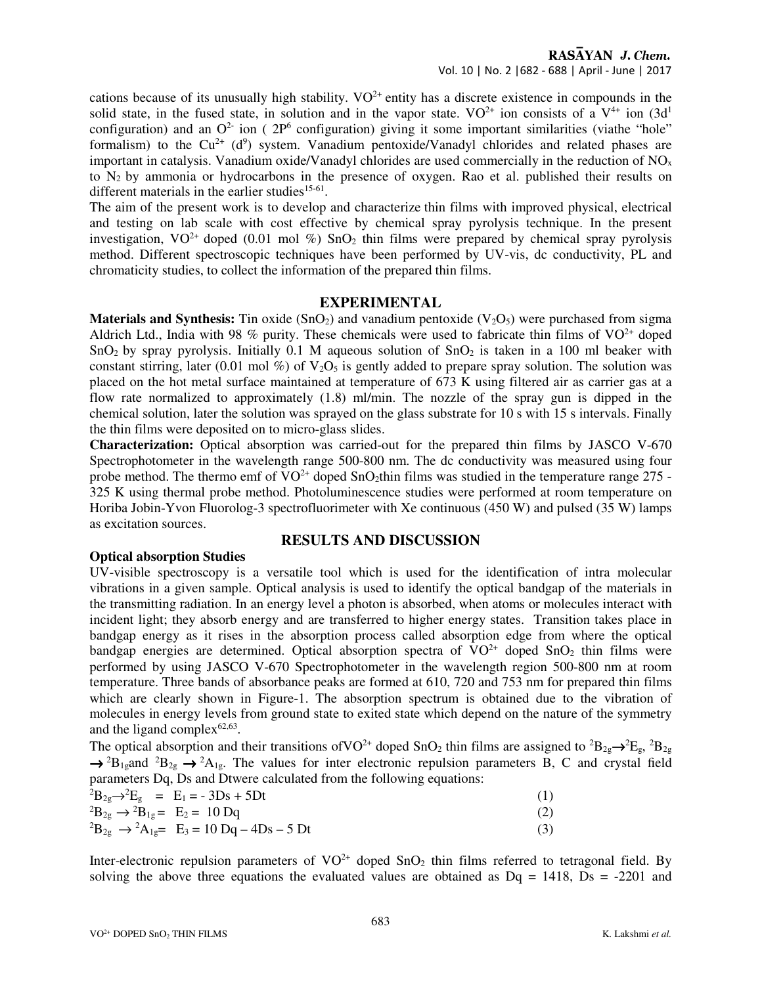cations because of its unusually high stability.  $VO^{2+}$  entity has a discrete existence in compounds in the solid state, in the fused state, in solution and in the vapor state.  $VO^{2+}$  ion consists of a  $V^{4+}$  ion  $(3d<sup>1</sup>$ configuration) and an  $O<sup>2</sup>$  ion (  $2P<sup>6</sup>$  configuration) giving it some important similarities (viathe "hole" formalism) to the  $Cu^{2+}$  (d<sup>9</sup>) system. Vanadium pentoxide/Vanadyl chlorides and related phases are important in catalysis. Vanadium oxide/Vanadyl chlorides are used commercially in the reduction of  $NO<sub>x</sub>$ to  $N_2$  by ammonia or hydrocarbons in the presence of oxygen. Rao et al. published their results on different materials in the earlier studies $15-61$ .

The aim of the present work is to develop and characterize thin films with improved physical, electrical and testing on lab scale with cost effective by chemical spray pyrolysis technique. In the present investigation,  $VO^{2+}$  doped (0.01 mol %) SnO<sub>2</sub> thin films were prepared by chemical spray pyrolysis method. Different spectroscopic techniques have been performed by UV-vis, dc conductivity, PL and chromaticity studies, to collect the information of the prepared thin films.

## **EXPERIMENTAL**

**Materials and Synthesis:** Tin oxide  $(SnO<sub>2</sub>)$  and vanadium pentoxide  $(V<sub>2</sub>O<sub>5</sub>)$  were purchased from sigma Aldrich Ltd., India with 98 % purity. These chemicals were used to fabricate thin films of  $VO^{2+}$  doped SnO<sub>2</sub> by spray pyrolysis. Initially 0.1 M aqueous solution of SnO<sub>2</sub> is taken in a 100 ml beaker with constant stirring, later (0.01 mol %) of  $V_2O_5$  is gently added to prepare spray solution. The solution was placed on the hot metal surface maintained at temperature of 673 K using filtered air as carrier gas at a flow rate normalized to approximately (1.8) ml/min. The nozzle of the spray gun is dipped in the chemical solution, later the solution was sprayed on the glass substrate for 10 s with 15 s intervals. Finally the thin films were deposited on to micro-glass slides.

**Characterization:** Optical absorption was carried-out for the prepared thin films by JASCO V-670 Spectrophotometer in the wavelength range 500-800 nm. The dc conductivity was measured using four probe method. The thermo emf of  $VO^{2+}$  doped SnO<sub>2</sub>thin films was studied in the temperature range 275 -325 K using thermal probe method. Photoluminescence studies were performed at room temperature on Horiba Jobin-Yvon Fluorolog-3 spectrofluorimeter with Xe continuous (450 W) and pulsed (35 W) lamps as excitation sources.

## **RESULTS AND DISCUSSION**

## **Optical absorption Studies**

UV-visible spectroscopy is a versatile tool which is used for the identification of intra molecular vibrations in a given sample. Optical analysis is used to identify the optical bandgap of the materials in the transmitting radiation. In an energy level a photon is absorbed, when atoms or molecules interact with incident light; they absorb energy and are transferred to higher energy states. Transition takes place in bandgap energy as it rises in the absorption process called absorption edge from where the optical bandgap energies are determined. Optical absorption spectra of  $VO^{2+}$  doped  $SnO_2$  thin films were performed by using JASCO V-670 Spectrophotometer in the wavelength region 500-800 nm at room temperature. Three bands of absorbance peaks are formed at 610, 720 and 753 nm for prepared thin films which are clearly shown in Figure-1. The absorption spectrum is obtained due to the vibration of molecules in energy levels from ground state to exited state which depend on the nature of the symmetry and the ligand complex $62,63$ .

The optical absorption and their transitions of VO<sup>2+</sup> doped SnO<sub>2</sub> thin films are assigned to <sup>2</sup>B<sub>2g</sub>→<sup>2</sup>E<sub>g</sub>, <sup>2</sup>B<sub>2g</sub>  $\rightarrow$  <sup>2</sup>B<sub>1g</sub>and <sup>2</sup>B<sub>2g</sub>  $\rightarrow$  <sup>2</sup>A<sub>1g</sub>. The values for inter electronic repulsion parameters B, C and crystal field parameters Dq, Ds and Dtwere calculated from the following equations:

|                                                         | ${}^{2}B_{2g} \rightarrow {}^{2}E_{g}$ = E <sub>1</sub> = - 3Ds + 5Dt |  |
|---------------------------------------------------------|-----------------------------------------------------------------------|--|
| ${}^{2}B_{2g} \rightarrow {}^{2}B_{1g} = E_{2} = 10$ Dq |                                                                       |  |
|                                                         | ${}^{2}B_{2g} \rightarrow {}^{2}A_{1g} = E_3 = 10 Dq - 4Ds - 5 Dt$    |  |

Inter-electronic repulsion parameters of  $VO^{2+}$  doped  $SnO_2$  thin films referred to tetragonal field. By solving the above three equations the evaluated values are obtained as  $Dq = 1418$ ,  $Ds = -2201$  and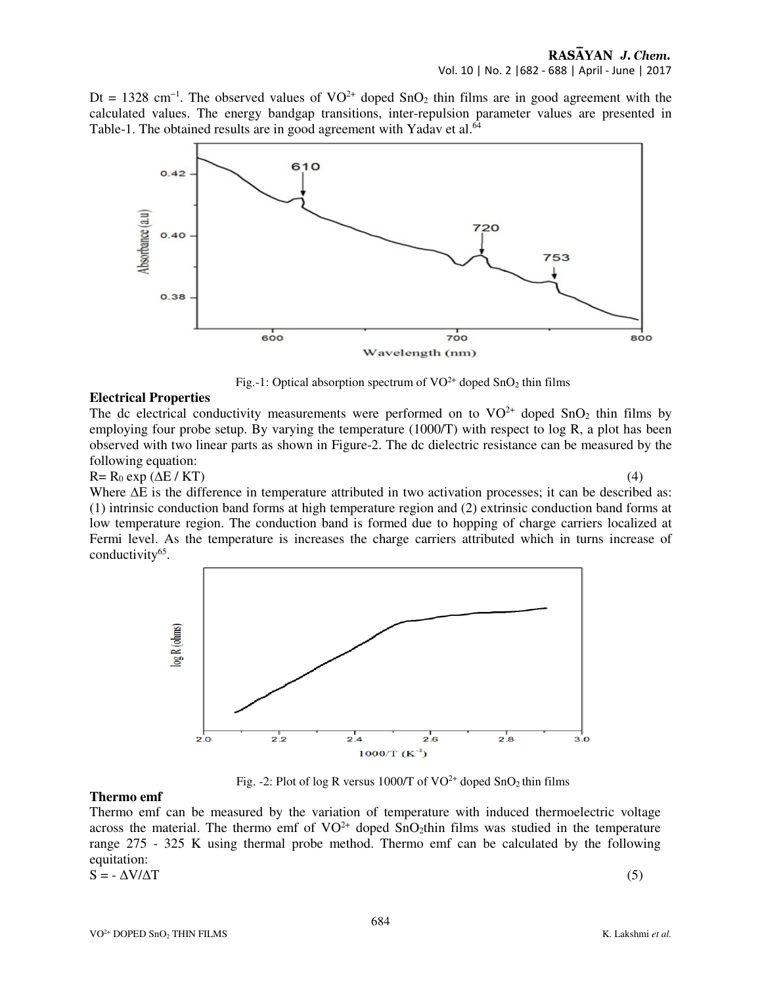Dt = 1328 cm<sup>-1</sup>. The observed values of VO<sup>2+</sup> doped SnO<sub>2</sub> thin films are in good agreement with the calculated values. The energy bandgap transitions, inter-repulsion parameter values are presented in Table-1. The obtained results are in good agreement with Yadav et al.<sup>64</sup>



Fig.-1: Optical absorption spectrum of  $VO^{2+}$  doped  $SnO<sub>2</sub>$  thin films

### **Electrical Properties**

The dc electrical conductivity measurements were performed on to  $VO^{2+}$  doped  $SnO_2$  thin films by employing four probe setup. By varying the temperature (1000/T) with respect to log R, a plot has been observed with two linear parts as shown in Figure-2. The dc dielectric resistance can be measured by the following equation:

 $R = R_0 \exp(\Delta E / KT)$  (4)

Where  $\Delta E$  is the difference in temperature attributed in two activation processes; it can be described as: (1) intrinsic conduction band forms at high temperature region and (2) extrinsic conduction band forms at low temperature region. The conduction band is formed due to hopping of charge carriers localized at Fermi level. As the temperature is increases the charge carriers attributed which in turns increase of conductivity<sup>65</sup>.



Fig. -2: Plot of log R versus 1000/T of  $VO^{2+}$  doped  $SnO<sub>2</sub>$  thin films

## **Thermo emf**

Thermo emf can be measured by the variation of temperature with induced thermoelectric voltage across the material. The thermo emf of  $VO^{2+}$  doped  $SnO_2$ thin films was studied in the temperature range 275 - 325 K using thermal probe method. Thermo emf can be calculated by the following equitation:  $S = -\Delta V/\Delta T$  (5)

$$
S = -\Delta V/\Delta T
$$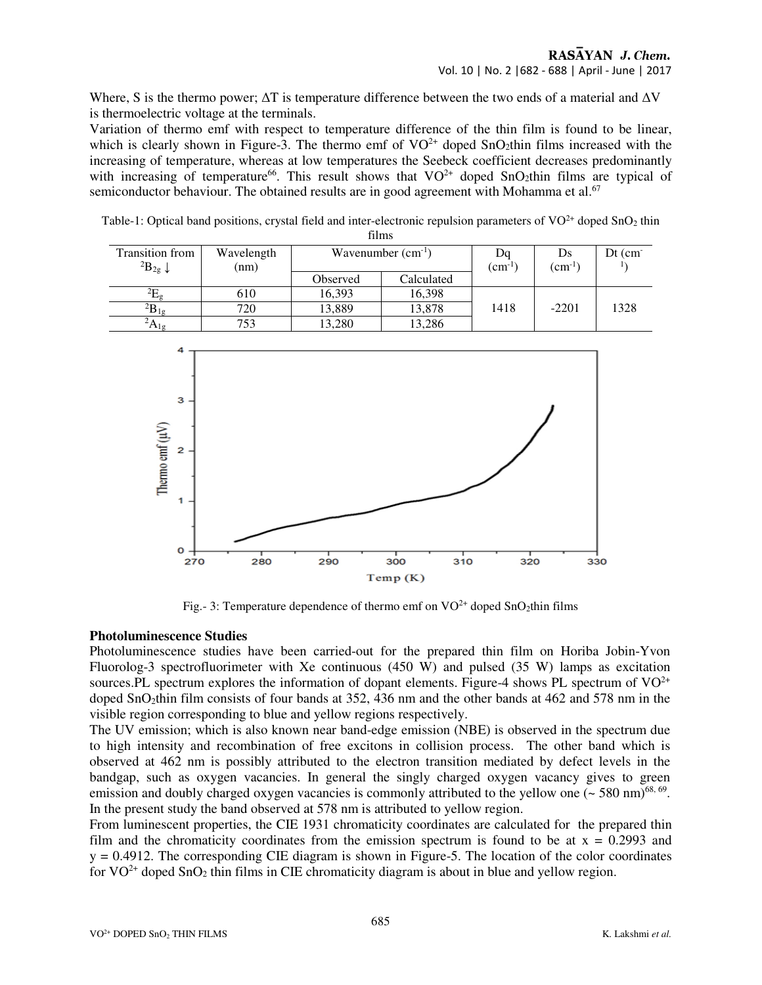Where, S is the thermo power;  $\Delta T$  is temperature difference between the two ends of a material and  $\Delta V$ is thermoelectric voltage at the terminals.

Variation of thermo emf with respect to temperature difference of the thin film is found to be linear, which is clearly shown in Figure-3. The thermo emf of  $VO^{2+}$  doped SnO<sub>2</sub>thin films increased with the increasing of temperature, whereas at low temperatures the Seebeck coefficient decreases predominantly with increasing of temperature<sup>66</sup>. This result shows that  $VO^{2+}$  doped SnO<sub>2</sub>thin films are typical of semiconductor behaviour. The obtained results are in good agreement with Mohamma et al.<sup>67</sup>

Table-1: Optical band positions, crystal field and inter-electronic repulsion parameters of  $VO<sup>2+</sup>$  doped SnO<sub>2</sub> thin films

| <b>Transition from</b><br>${}^{2}B_{2g}$ + | Wavelength<br>(nm) | Wavenumber $(cm^{-1})$ |            | Dq<br>$\rm (cm^{-1}$ | Ds<br>$\rm (cm^{-1}$ | $Dt$ (cm $\bar{C}$ |  |  |  |
|--------------------------------------------|--------------------|------------------------|------------|----------------------|----------------------|--------------------|--|--|--|
|                                            |                    | Observed               | Calculated |                      |                      |                    |  |  |  |
|                                            | 610                | 16,393                 | 16,398     |                      |                      |                    |  |  |  |
| $\mathbf{B}_{1g}$                          | 720                | 13,889                 | 13,878     | 1418                 | $-2201$              | 1328               |  |  |  |
| $^2A_{1g}$                                 |                    | 13,280                 | 13,286     |                      |                      |                    |  |  |  |



Fig.- 3: Temperature dependence of thermo emf on  $VO^{2+}$  doped SnO<sub>2</sub>thin films

## **Photoluminescence Studies**

Photoluminescence studies have been carried-out for the prepared thin film on Horiba Jobin-Yvon Fluorolog-3 spectrofluorimeter with Xe continuous (450 W) and pulsed (35 W) lamps as excitation sources.PL spectrum explores the information of dopant elements. Figure-4 shows PL spectrum of  $VO^{2+}$ doped SnO<sub>2</sub>thin film consists of four bands at 352, 436 nm and the other bands at 462 and 578 nm in the visible region corresponding to blue and yellow regions respectively.

The UV emission; which is also known near band-edge emission (NBE) is observed in the spectrum due to high intensity and recombination of free excitons in collision process. The other band which is observed at 462 nm is possibly attributed to the electron transition mediated by defect levels in the bandgap, such as oxygen vacancies. In general the singly charged oxygen vacancy gives to green emission and doubly charged oxygen vacancies is commonly attributed to the yellow one  $(\sim 580 \text{ nm})^{68,69}$ . In the present study the band observed at 578 nm is attributed to yellow region.

From luminescent properties, the CIE 1931 chromaticity coordinates are calculated for the prepared thin film and the chromaticity coordinates from the emission spectrum is found to be at  $x = 0.2993$  and  $y = 0.4912$ . The corresponding CIE diagram is shown in Figure-5. The location of the color coordinates for  $VO^{2+}$  doped Sn $O_2$  thin films in CIE chromaticity diagram is about in blue and yellow region.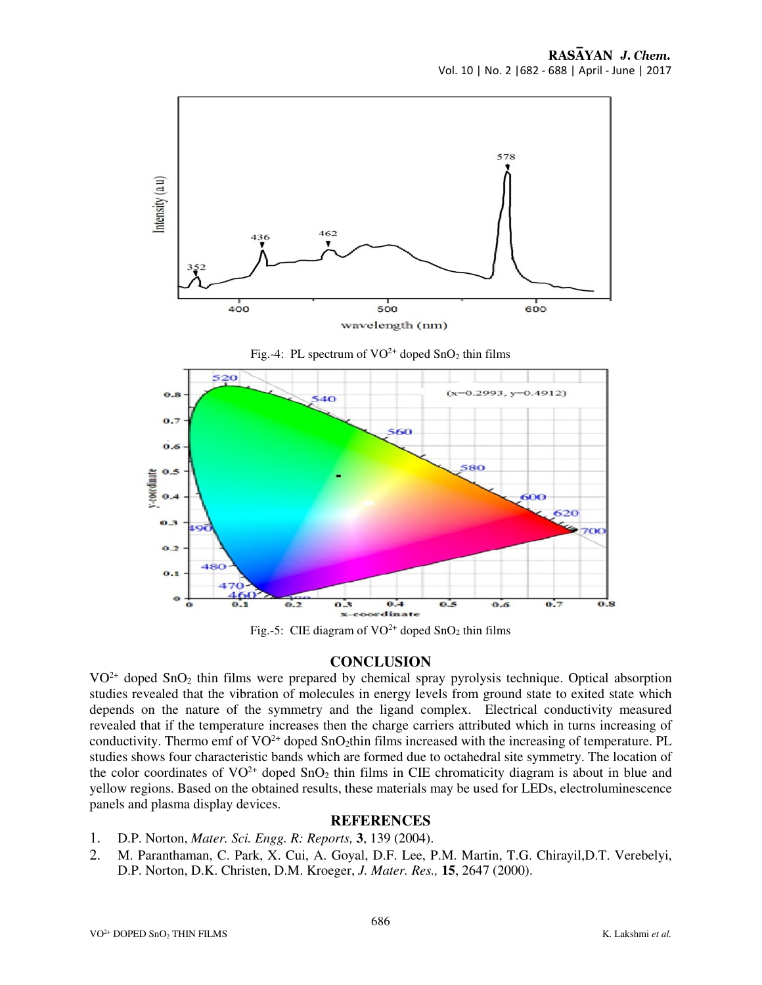

Fig.-5: CIE diagram of  $VO^{2+}$  doped SnO<sub>2</sub> thin films

## **CONCLUSION**

 $VO<sup>2+</sup>$  doped SnO<sub>2</sub> thin films were prepared by chemical spray pyrolysis technique. Optical absorption studies revealed that the vibration of molecules in energy levels from ground state to exited state which depends on the nature of the symmetry and the ligand complex. Electrical conductivity measured revealed that if the temperature increases then the charge carriers attributed which in turns increasing of conductivity. Thermo emf of  $VO^{2+}$  doped SnO<sub>2</sub>thin films increased with the increasing of temperature. PL studies shows four characteristic bands which are formed due to octahedral site symmetry. The location of the color coordinates of  $VO^{2+}$  doped  $SnO_2$  thin films in CIE chromaticity diagram is about in blue and yellow regions. Based on the obtained results, these materials may be used for LEDs, electroluminescence panels and plasma display devices.

## **REFERENCES**

- 1. D.P. Norton, *Mater. Sci. Engg. R: Reports,* **3**, 139 (2004).
- 2. M. Paranthaman, C. Park, X. Cui, A. Goyal, D.F. Lee, P.M. Martin, T.G. Chirayil,D.T. Verebelyi, D.P. Norton, D.K. Christen, D.M. Kroeger, *J. Mater. Res.,* **15**, 2647 (2000).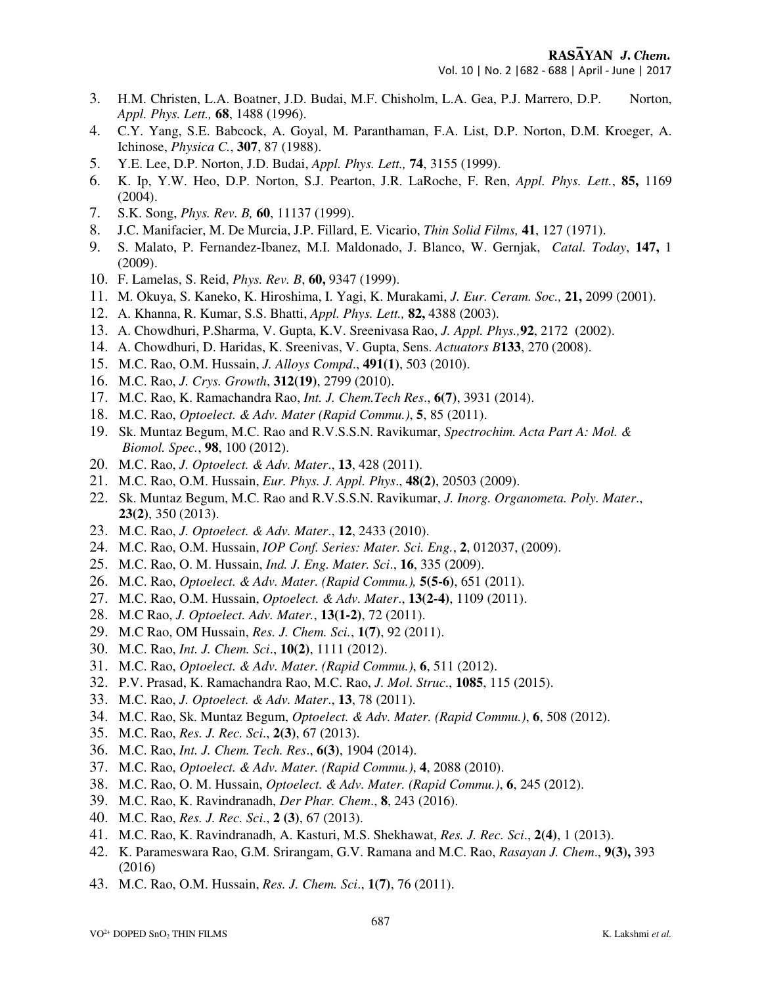RASAYAN J. Chem.

Vol. 10 | No. 2 |682 - 688 | April - June | 2017

- 3. H.M. Christen, L.A. Boatner, J.D. Budai, M.F. Chisholm, L.A. Gea, P.J. Marrero, D.P. Norton, *Appl. Phys. Lett.,* **68**, 1488 (1996).
- 4. C.Y. Yang, S.E. Babcock, A. Goyal, M. Paranthaman, F.A. List, D.P. Norton, D.M. Kroeger, A. Ichinose, *Physica C.*, **307**, 87 (1988).
- 5. Y.E. Lee, D.P. Norton, J.D. Budai, *Appl. Phys. Lett.,* **74**, 3155 (1999).
- 6. K. Ip, Y.W. Heo, D.P. Norton, S.J. Pearton, J.R. LaRoche, F. Ren, *Appl. Phys. Lett.*, **85,** 1169 (2004).
- 7. S.K. Song, *Phys. Rev. B,* **60**, 11137 (1999).
- 8. J.C. Manifacier, M. De Murcia, J.P. Fillard, E. Vicario, *Thin Solid Films,* **41**, 127 (1971).
- 9. S. Malato, P. Fernandez-Ibanez, M.I. Maldonado, J. Blanco, W. Gernjak, *Catal. Today*, **147,** 1 (2009).
- 10. F. Lamelas, S. Reid, *Phys. Rev. B*, **60,** 9347 (1999).
- 11. M. Okuya, S. Kaneko, K. Hiroshima, I. Yagi, K. Murakami, *J. Eur. Ceram. Soc.,* **21,** 2099 (2001).
- 12. A. Khanna, R. Kumar, S.S. Bhatti, *Appl. Phys. Lett.,* **82,** 4388 (2003).
- 13. A. Chowdhuri, P.Sharma, V. Gupta, K.V. Sreenivasa Rao, *J. Appl. Phys.,***92**, 2172 (2002).
- 14. A. Chowdhuri, D. Haridas, K. Sreenivas, V. Gupta, Sens. *Actuators B***133**, 270 (2008).
- 15. M.C. Rao, O.M. Hussain, *J. Alloys Compd*., **491(1)**, 503 (2010).
- 16. M.C. Rao, *J. Crys. Growth*, **312(19)**, 2799 (2010).
- 17. M.C. Rao, K. Ramachandra Rao, *Int. J. Chem.Tech Res*., **6(7)**, 3931 (2014).
- 18. M.C. Rao, *Optoelect. & Adv. Mater (Rapid Commu.)*, **5**, 85 (2011).
- 19. Sk. Muntaz Begum, M.C. Rao and R.V.S.S.N. Ravikumar, *Spectrochim. Acta Part A: Mol. & Biomol. Spec.*, **98**, 100 (2012).
- 20. M.C. Rao, *J. Optoelect. & Adv. Mater*., **13**, 428 (2011).
- 21. M.C. Rao, O.M. Hussain, *Eur. Phys. J. Appl. Phys*., **48(2)**, 20503 (2009).
- 22. Sk. Muntaz Begum, M.C. Rao and R.V.S.S.N. Ravikumar, *J. Inorg. Organometa. Poly. Mater*.,  **23(2)**, 350 (2013).
- 23. M.C. Rao, *J. Optoelect. & Adv. Mater*., **12**, 2433 (2010).
- 24. M.C. Rao, O.M. Hussain, *IOP Conf. Series: Mater. Sci. Eng.*, **2**, 012037, (2009).
- 25. M.C. Rao, O. M. Hussain, *Ind. J. Eng. Mater. Sci*., **16**, 335 (2009).
- 26. M.C. Rao, *Optoelect. & Adv. Mater. (Rapid Commu.),* **5(5-6)**, 651 (2011).
- 27. M.C. Rao, O.M. Hussain, *Optoelect. & Adv. Mater*., **13(2-4)**, 1109 (2011).
- 28. M.C Rao, *J. Optoelect. Adv. Mater.*, **13(1-2)**, 72 (2011).
- 29. M.C Rao, OM Hussain, *Res. J. Chem. Sci.*, **1(7)**, 92 (2011).
- 30. M.C. Rao, *Int. J. Chem. Sci*., **10(2)**, 1111 (2012).
- 31. M.C. Rao, *Optoelect. & Adv. Mater. (Rapid Commu.)*, **6**, 511 (2012).
- 32. P.V. Prasad, K. Ramachandra Rao, M.C. Rao, *J. Mol. Struc*., **1085**, 115 (2015).
- 33. M.C. Rao, *J. Optoelect. & Adv. Mater*., **13**, 78 (2011).
- 34. M.C. Rao, Sk. Muntaz Begum, *Optoelect. & Adv. Mater. (Rapid Commu.)*, **6**, 508 (2012).
- 35. M.C. Rao, *Res. J. Rec. Sci*., **2(3)**, 67 (2013).
- 36. M.C. Rao, *Int. J. Chem. Tech. Res*., **6(3)**, 1904 (2014).
- 37. M.C. Rao, *Optoelect. & Adv. Mater. (Rapid Commu.)*, **4**, 2088 (2010).
- 38. M.C. Rao, O. M. Hussain, *Optoelect. & Adv. Mater. (Rapid Commu.)*, **6**, 245 (2012).
- 39. M.C. Rao, K. Ravindranadh, *Der Phar. Chem*., **8**, 243 (2016).
- 40. M.C. Rao, *Res. J. Rec. Sci*., **2 (3)**, 67 (2013).
- 41. M.C. Rao, K. Ravindranadh, A. Kasturi, M.S. Shekhawat, *Res. J. Rec. Sci*., **2(4)**, 1 (2013).
- 42. K. Parameswara Rao, G.M. Srirangam, G.V. Ramana and M.C. Rao, *Rasayan J. Chem*., **9(3),** 393 (2016)
- 43. M.C. Rao, O.M. Hussain, *Res. J. Chem. Sci*., **1(7)**, 76 (2011).